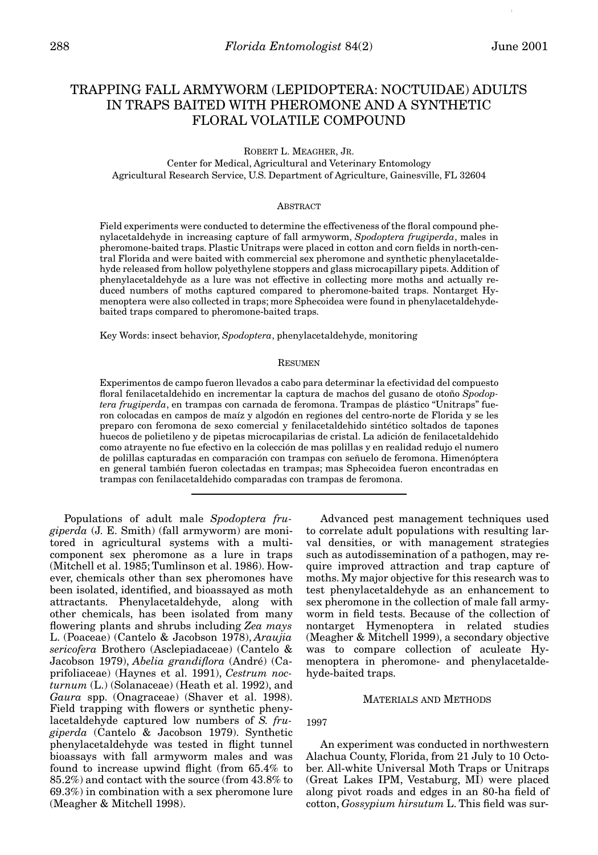# TRAPPING FALL ARMYWORM (LEPIDOPTERA: NOCTUIDAE) ADULTS IN TRAPS BAITED WITH PHEROMONE AND A SYNTHETIC FLORAL VOLATILE COMPOUND

ROBERT L. MEAGHER, JR. Center for Medical, Agricultural and Veterinary Entomology Agricultural Research Service, U.S. Department of Agriculture, Gainesville, FL 32604

## ABSTRACT

Field experiments were conducted to determine the effectiveness of the floral compound phenylacetaldehyde in increasing capture of fall armyworm, *Spodoptera frugiperda*, males in pheromone-baited traps. Plastic Unitraps were placed in cotton and corn fields in north-central Florida and were baited with commercial sex pheromone and synthetic phenylacetaldehyde released from hollow polyethylene stoppers and glass microcapillary pipets. Addition of phenylacetaldehyde as a lure was not effective in collecting more moths and actually reduced numbers of moths captured compared to pheromone-baited traps. Nontarget Hymenoptera were also collected in traps; more Sphecoidea were found in phenylacetaldehydebaited traps compared to pheromone-baited traps.

Key Words: insect behavior, *Spodoptera*, phenylacetaldehyde, monitoring

### RESUMEN

Experimentos de campo fueron llevados a cabo para determinar la efectividad del compuesto floral fenilacetaldehido en incrementar la captura de machos del gusano de otoño *Spodoptera frugiperda*, en trampas con carnada de feromona. Trampas de plástico "Unitraps" fueron colocadas en campos de maíz y algodón en regiones del centro-norte de Florida y se les preparo con feromona de sexo comercial y fenilacetaldehido sintético soltados de tapones huecos de polietileno y de pipetas microcapilarias de cristal. La adición de fenilacetaldehido como atrayente no fue efectivo en la colección de mas polillas y en realidad redujo el numero de polillas capturadas en comparación con trampas con señuelo de feromona. Himenóptera en general también fueron colectadas en trampas; mas Sphecoidea fueron encontradas en trampas con fenilacetaldehido comparadas con trampas de feromona.

Populations of adult male *Spodoptera frugiperda* (J. E. Smith) (fall armyworm) are monitored in agricultural systems with a multicomponent sex pheromone as a lure in traps (Mitchell et al. 1985; Tumlinson et al. 1986). However, chemicals other than sex pheromones have been isolated, identified, and bioassayed as moth attractants. Phenylacetaldehyde, along with other chemicals, has been isolated from many flowering plants and shrubs including *Zea mays* L. (Poaceae) (Cantelo & Jacobson 1978), *Araujia sericofera* Brothero (Asclepiadaceae) (Cantelo & Jacobson 1979), *Abelia grandiflora* (André) (Caprifoliaceae) (Haynes et al. 1991), *Cestrum nocturnum* (L.) (Solanaceae) (Heath et al. 1992), and *Gaura* spp. (Onagraceae) (Shaver et al. 1998). Field trapping with flowers or synthetic phenylacetaldehyde captured low numbers of *S. frugiperda* (Cantelo & Jacobson 1979). Synthetic phenylacetaldehyde was tested in flight tunnel bioassays with fall armyworm males and was found to increase upwind flight (from 65.4% to 85.2%) and contact with the source (from 43.8% to 69.3%) in combination with a sex pheromone lure (Meagher & Mitchell 1998).

Advanced pest management techniques used to correlate adult populations with resulting larval densities, or with management strategies such as autodissemination of a pathogen, may require improved attraction and trap capture of moths. My major objective for this research was to test phenylacetaldehyde as an enhancement to sex pheromone in the collection of male fall armyworm in field tests. Because of the collection of nontarget Hymenoptera in related studies (Meagher & Mitchell 1999), a secondary objective was to compare collection of aculeate Hymenoptera in pheromone- and phenylacetaldehyde-baited traps.

#### MATERIALS AND METHODS

1997

An experiment was conducted in northwestern Alachua County, Florida, from 21 July to 10 October. All-white Universal Moth Traps or Unitraps (Great Lakes IPM, Vestaburg, MI) were placed along pivot roads and edges in an 80-ha field of cotton, *Gossypium hirsutum* L. This field was sur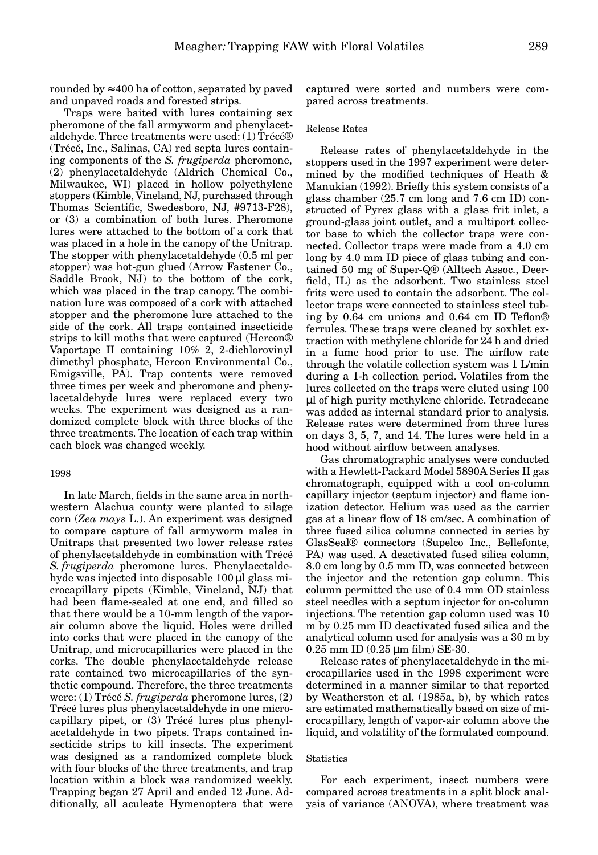rounded by  $\approx 400$  ha of cotton, separated by paved and unpaved roads and forested strips.

Traps were baited with lures containing sex pheromone of the fall armyworm and phenylacetaldehyde. Three treatments were used: (1) Trécé® (Trécé, Inc., Salinas, CA) red septa lures containing components of the *S. frugiperda* pheromone, (2) phenylacetaldehyde (Aldrich Chemical Co., Milwaukee, WI) placed in hollow polyethylene stoppers (Kimble, Vineland, NJ, purchased through Thomas Scientific, Swedesboro, NJ, #9713-F28), or (3) a combination of both lures. Pheromone lures were attached to the bottom of a cork that was placed in a hole in the canopy of the Unitrap. The stopper with phenylacetaldehyde (0.5 ml per stopper) was hot-gun glued (Arrow Fastener Co., Saddle Brook, NJ) to the bottom of the cork, which was placed in the trap canopy. The combination lure was composed of a cork with attached stopper and the pheromone lure attached to the side of the cork. All traps contained insecticide strips to kill moths that were captured (Hercon® Vaportape II containing 10% 2, 2-dichlorovinyl dimethyl phosphate, Hercon Environmental Co., Emigsville, PA). Trap contents were removed three times per week and pheromone and phenylacetaldehyde lures were replaced every two weeks. The experiment was designed as a randomized complete block with three blocks of the three treatments. The location of each trap within each block was changed weekly.

### 1998

In late March, fields in the same area in northwestern Alachua county were planted to silage corn (*Zea mays* L.). An experiment was designed to compare capture of fall armyworm males in Unitraps that presented two lower release rates of phenylacetaldehyde in combination with Trécé *S. frugiperda* pheromone lures. Phenylacetaldehyde was injected into disposable 100 µl glass microcapillary pipets (Kimble, Vineland, NJ) that had been flame-sealed at one end, and filled so that there would be a 10-mm length of the vaporair column above the liquid. Holes were drilled into corks that were placed in the canopy of the Unitrap, and microcapillaries were placed in the corks. The double phenylacetaldehyde release rate contained two microcapillaries of the synthetic compound. Therefore, the three treatments were: (1) Trécé *S. frugiperda* pheromone lures, (2) Trécé lures plus phenylacetaldehyde in one microcapillary pipet, or (3) Trécé lures plus phenylacetaldehyde in two pipets. Traps contained insecticide strips to kill insects. The experiment was designed as a randomized complete block with four blocks of the three treatments, and trap location within a block was randomized weekly. Trapping began 27 April and ended 12 June. Additionally, all aculeate Hymenoptera that were

captured were sorted and numbers were compared across treatments.

## Release Rates

Release rates of phenylacetaldehyde in the stoppers used in the 1997 experiment were determined by the modified techniques of Heath & Manukian (1992). Briefly this system consists of a glass chamber (25.7 cm long and 7.6 cm ID) constructed of Pyrex glass with a glass frit inlet, a ground-glass joint outlet, and a multiport collector base to which the collector traps were connected. Collector traps were made from a 4.0 cm long by 4.0 mm ID piece of glass tubing and contained 50 mg of Super-Q® (Alltech Assoc., Deerfield, IL) as the adsorbent. Two stainless steel frits were used to contain the adsorbent. The collector traps were connected to stainless steel tubing by 0.64 cm unions and 0.64 cm ID Teflon® ferrules. These traps were cleaned by soxhlet extraction with methylene chloride for 24 h and dried in a fume hood prior to use. The airflow rate through the volatile collection system was 1 L/min during a 1-h collection period. Volatiles from the lures collected on the traps were eluted using 100 µl of high purity methylene chloride. Tetradecane was added as internal standard prior to analysis. Release rates were determined from three lures on days 3, 5, 7, and 14. The lures were held in a hood without airflow between analyses.

Gas chromatographic analyses were conducted with a Hewlett-Packard Model 5890A Series II gas chromatograph, equipped with a cool on-column capillary injector (septum injector) and flame ionization detector. Helium was used as the carrier gas at a linear flow of 18 cm/sec. A combination of three fused silica columns connected in series by GlasSeal® connectors (Supelco Inc., Bellefonte, PA) was used. A deactivated fused silica column, 8.0 cm long by 0.5 mm ID, was connected between the injector and the retention gap column. This column permitted the use of 0.4 mm OD stainless steel needles with a septum injector for on-column injections. The retention gap column used was 10 m by 0.25 mm ID deactivated fused silica and the analytical column used for analysis was a 30 m by 0.25 mm ID (0.25 µm film) SE-30.

Release rates of phenylacetaldehyde in the microcapillaries used in the 1998 experiment were determined in a manner similar to that reported by Weatherston et al. (1985a, b), by which rates are estimated mathematically based on size of microcapillary, length of vapor-air column above the liquid, and volatility of the formulated compound.

## **Statistics**

For each experiment, insect numbers were compared across treatments in a split block analysis of variance (ANOVA), where treatment was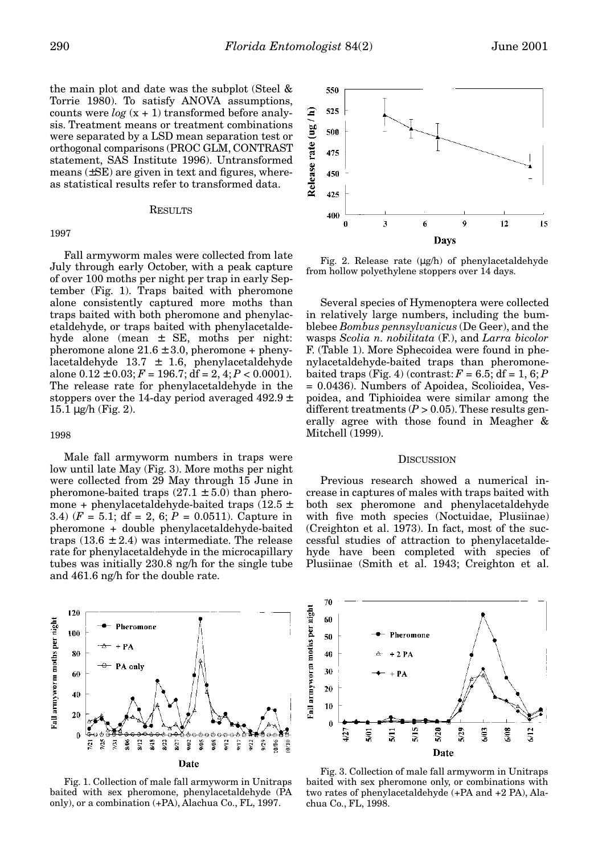the main plot and date was the subplot (Steel & Torrie 1980). To satisfy ANOVA assumptions, counts were  $log(x + 1)$  transformed before analysis. Treatment means or treatment combinations were separated by a LSD mean separation test or orthogonal comparisons (PROC GLM, CONTRAST statement, SAS Institute 1996). Untransformed means (±SE) are given in text and figures, whereas statistical results refer to transformed data.

## RESULTS

#### 1997

Fall armyworm males were collected from late July through early October, with a peak capture of over 100 moths per night per trap in early September (Fig. 1). Traps baited with pheromone alone consistently captured more moths than traps baited with both pheromone and phenylacetaldehyde, or traps baited with phenylacetaldehyde alone (mean ± SE, moths per night: pheromone alone  $21.6 \pm 3.0$ , pheromone + phenylacetaldehyde  $13.7 \pm 1.6$ , phenylacetaldehyde alone  $0.12 \pm 0.03$ ;  $F = 196.7$ ; df = 2, 4;  $P < 0.0001$ ). The release rate for phenylacetaldehyde in the stoppers over the 14-day period averaged  $492.9 \pm$  $15.1 \,\mu$ g/h (Fig. 2).

#### 1998

Male fall armyworm numbers in traps were low until late May (Fig. 3). More moths per night were collected from 29 May through 15 June in pheromone-baited traps  $(27.1 \pm 5.0)$  than pheromone + phenylacetaldehyde-baited traps  $(12.5 \pm$ 3.4)  $(F = 5.1; df = 2, 6; P = 0.0511)$ . Capture in pheromone + double phenylacetaldehyde-baited traps  $(13.6 \pm 2.4)$  was intermediate. The release rate for phenylacetaldehyde in the microcapillary tubes was initially 230.8 ng/h for the single tube and 461.6 ng/h for the double rate.







Fig. 2. Release rate (µg/h) of phenylacetaldehyde from hollow polyethylene stoppers over 14 days.

Several species of Hymenoptera were collected in relatively large numbers, including the bumblebee *Bombus pennsylvanicus* (De Geer), and the wasps *Scolia n. nobilitata* (F.), and *Larra bicolor* F. (Table 1). More Sphecoidea were found in phenylacetaldehyde-baited traps than pheromonebaited traps (Fig. 4) (contrast:  $F = 6.5$ ; df = 1, 6; P = 0.0436). Numbers of Apoidea, Scolioidea, Vespoidea, and Tiphioidea were similar among the different treatments  $(P > 0.05)$ . These results generally agree with those found in Meagher & Mitchell (1999).

#### **DISCUSSION**

Previous research showed a numerical increase in captures of males with traps baited with both sex pheromone and phenylacetaldehyde with five moth species (Noctuidae, Plusiinae) (Creighton et al. 1973). In fact, most of the successful studies of attraction to phenylacetaldehyde have been completed with species of Plusiinae (Smith et al. 1943; Creighton et al.



Fig. 3. Collection of male fall armyworm in Unitraps baited with sex pheromone only, or combinations with two rates of phenylacetaldehyde (+PA and +2 PA), Alachua Co., FL, 1998.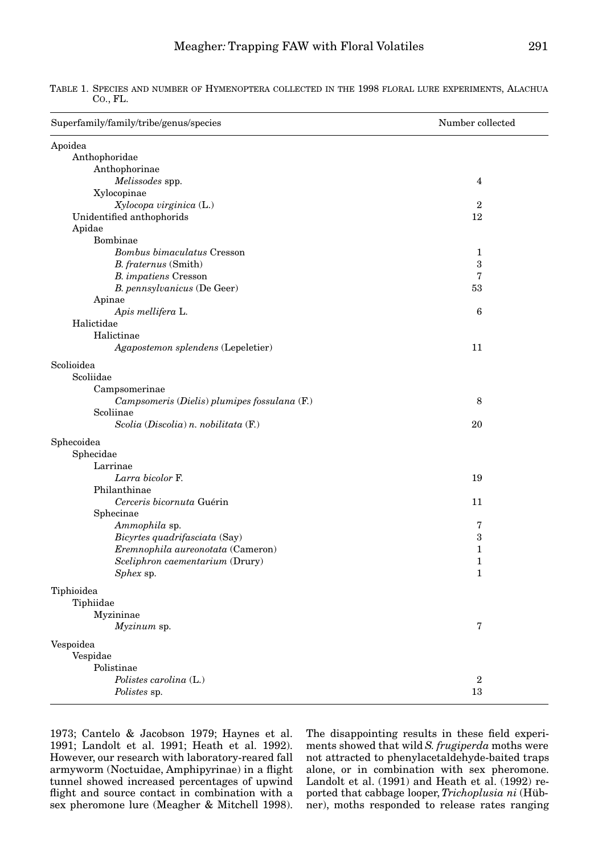| Anthophoridae<br>Anthophorinae<br>Melissodes spp.<br>$\overline{4}$<br>Xylocopinae<br>Xylocopa virginica (L.)<br>$\mathbf{2}$<br>Unidentified anthophorids<br>12<br>Apidae<br>Bombinae<br>Bombus bimaculatus Cresson<br>1<br>3<br>B. fraternus (Smith)<br>7<br>B. impatiens Cresson<br>B. pennsylvanicus (De Geer)<br>53<br>Apinae<br>Apis mellifera L.<br>6<br>Halictidae<br>Halictinae<br>Agapostemon splendens (Lepeletier)<br>11<br>Scoliidae<br>Campsomerinae<br>Campsomeris (Dielis) plumipes fossulana (F.)<br>8<br>Scoliinae<br>Scolia (Discolia) n. nobilitata (F.)<br>20<br>Sphecidae<br>Larrinae<br>Larra bicolor F.<br>19<br>Philanthinae<br>Cerceris bicornuta Guérin<br>11<br>Sphecinae<br>7<br>Ammophila sp.<br>Bicyrtes quadrifasciata (Say)<br>3<br>Eremnophila aureonotata (Cameron)<br>$\mathbf{1}$<br>Sceliphron caementarium (Drury)<br>$\mathbf{1}$<br>Sphex sp.<br>1<br>Tiphiidae<br>Myzininae<br>7<br>Myzinum sp.<br>Vespoidea<br>Vespidae<br>Polistinae<br>$\overline{2}$<br>Polistes carolina (L.)<br>13<br><i>Polistes</i> sp. | Superfamily/family/tribe/genus/species | Number collected |
|-----------------------------------------------------------------------------------------------------------------------------------------------------------------------------------------------------------------------------------------------------------------------------------------------------------------------------------------------------------------------------------------------------------------------------------------------------------------------------------------------------------------------------------------------------------------------------------------------------------------------------------------------------------------------------------------------------------------------------------------------------------------------------------------------------------------------------------------------------------------------------------------------------------------------------------------------------------------------------------------------------------------------------------------------------------|----------------------------------------|------------------|
|                                                                                                                                                                                                                                                                                                                                                                                                                                                                                                                                                                                                                                                                                                                                                                                                                                                                                                                                                                                                                                                           | Apoidea                                |                  |
|                                                                                                                                                                                                                                                                                                                                                                                                                                                                                                                                                                                                                                                                                                                                                                                                                                                                                                                                                                                                                                                           |                                        |                  |
|                                                                                                                                                                                                                                                                                                                                                                                                                                                                                                                                                                                                                                                                                                                                                                                                                                                                                                                                                                                                                                                           |                                        |                  |
|                                                                                                                                                                                                                                                                                                                                                                                                                                                                                                                                                                                                                                                                                                                                                                                                                                                                                                                                                                                                                                                           |                                        |                  |
|                                                                                                                                                                                                                                                                                                                                                                                                                                                                                                                                                                                                                                                                                                                                                                                                                                                                                                                                                                                                                                                           |                                        |                  |
|                                                                                                                                                                                                                                                                                                                                                                                                                                                                                                                                                                                                                                                                                                                                                                                                                                                                                                                                                                                                                                                           |                                        |                  |
|                                                                                                                                                                                                                                                                                                                                                                                                                                                                                                                                                                                                                                                                                                                                                                                                                                                                                                                                                                                                                                                           |                                        |                  |
|                                                                                                                                                                                                                                                                                                                                                                                                                                                                                                                                                                                                                                                                                                                                                                                                                                                                                                                                                                                                                                                           |                                        |                  |
|                                                                                                                                                                                                                                                                                                                                                                                                                                                                                                                                                                                                                                                                                                                                                                                                                                                                                                                                                                                                                                                           |                                        |                  |
|                                                                                                                                                                                                                                                                                                                                                                                                                                                                                                                                                                                                                                                                                                                                                                                                                                                                                                                                                                                                                                                           |                                        |                  |
|                                                                                                                                                                                                                                                                                                                                                                                                                                                                                                                                                                                                                                                                                                                                                                                                                                                                                                                                                                                                                                                           |                                        |                  |
|                                                                                                                                                                                                                                                                                                                                                                                                                                                                                                                                                                                                                                                                                                                                                                                                                                                                                                                                                                                                                                                           |                                        |                  |
|                                                                                                                                                                                                                                                                                                                                                                                                                                                                                                                                                                                                                                                                                                                                                                                                                                                                                                                                                                                                                                                           |                                        |                  |
|                                                                                                                                                                                                                                                                                                                                                                                                                                                                                                                                                                                                                                                                                                                                                                                                                                                                                                                                                                                                                                                           |                                        |                  |
|                                                                                                                                                                                                                                                                                                                                                                                                                                                                                                                                                                                                                                                                                                                                                                                                                                                                                                                                                                                                                                                           |                                        |                  |
|                                                                                                                                                                                                                                                                                                                                                                                                                                                                                                                                                                                                                                                                                                                                                                                                                                                                                                                                                                                                                                                           |                                        |                  |
|                                                                                                                                                                                                                                                                                                                                                                                                                                                                                                                                                                                                                                                                                                                                                                                                                                                                                                                                                                                                                                                           |                                        |                  |
|                                                                                                                                                                                                                                                                                                                                                                                                                                                                                                                                                                                                                                                                                                                                                                                                                                                                                                                                                                                                                                                           |                                        |                  |
|                                                                                                                                                                                                                                                                                                                                                                                                                                                                                                                                                                                                                                                                                                                                                                                                                                                                                                                                                                                                                                                           | Scolioidea                             |                  |
|                                                                                                                                                                                                                                                                                                                                                                                                                                                                                                                                                                                                                                                                                                                                                                                                                                                                                                                                                                                                                                                           |                                        |                  |
|                                                                                                                                                                                                                                                                                                                                                                                                                                                                                                                                                                                                                                                                                                                                                                                                                                                                                                                                                                                                                                                           |                                        |                  |
|                                                                                                                                                                                                                                                                                                                                                                                                                                                                                                                                                                                                                                                                                                                                                                                                                                                                                                                                                                                                                                                           |                                        |                  |
|                                                                                                                                                                                                                                                                                                                                                                                                                                                                                                                                                                                                                                                                                                                                                                                                                                                                                                                                                                                                                                                           |                                        |                  |
|                                                                                                                                                                                                                                                                                                                                                                                                                                                                                                                                                                                                                                                                                                                                                                                                                                                                                                                                                                                                                                                           |                                        |                  |
|                                                                                                                                                                                                                                                                                                                                                                                                                                                                                                                                                                                                                                                                                                                                                                                                                                                                                                                                                                                                                                                           | Sphecoidea                             |                  |
|                                                                                                                                                                                                                                                                                                                                                                                                                                                                                                                                                                                                                                                                                                                                                                                                                                                                                                                                                                                                                                                           |                                        |                  |
|                                                                                                                                                                                                                                                                                                                                                                                                                                                                                                                                                                                                                                                                                                                                                                                                                                                                                                                                                                                                                                                           |                                        |                  |
|                                                                                                                                                                                                                                                                                                                                                                                                                                                                                                                                                                                                                                                                                                                                                                                                                                                                                                                                                                                                                                                           |                                        |                  |
|                                                                                                                                                                                                                                                                                                                                                                                                                                                                                                                                                                                                                                                                                                                                                                                                                                                                                                                                                                                                                                                           |                                        |                  |
|                                                                                                                                                                                                                                                                                                                                                                                                                                                                                                                                                                                                                                                                                                                                                                                                                                                                                                                                                                                                                                                           |                                        |                  |
|                                                                                                                                                                                                                                                                                                                                                                                                                                                                                                                                                                                                                                                                                                                                                                                                                                                                                                                                                                                                                                                           |                                        |                  |
|                                                                                                                                                                                                                                                                                                                                                                                                                                                                                                                                                                                                                                                                                                                                                                                                                                                                                                                                                                                                                                                           |                                        |                  |
|                                                                                                                                                                                                                                                                                                                                                                                                                                                                                                                                                                                                                                                                                                                                                                                                                                                                                                                                                                                                                                                           |                                        |                  |
|                                                                                                                                                                                                                                                                                                                                                                                                                                                                                                                                                                                                                                                                                                                                                                                                                                                                                                                                                                                                                                                           |                                        |                  |
|                                                                                                                                                                                                                                                                                                                                                                                                                                                                                                                                                                                                                                                                                                                                                                                                                                                                                                                                                                                                                                                           |                                        |                  |
|                                                                                                                                                                                                                                                                                                                                                                                                                                                                                                                                                                                                                                                                                                                                                                                                                                                                                                                                                                                                                                                           |                                        |                  |
|                                                                                                                                                                                                                                                                                                                                                                                                                                                                                                                                                                                                                                                                                                                                                                                                                                                                                                                                                                                                                                                           | Tiphioidea                             |                  |
|                                                                                                                                                                                                                                                                                                                                                                                                                                                                                                                                                                                                                                                                                                                                                                                                                                                                                                                                                                                                                                                           |                                        |                  |
|                                                                                                                                                                                                                                                                                                                                                                                                                                                                                                                                                                                                                                                                                                                                                                                                                                                                                                                                                                                                                                                           |                                        |                  |
|                                                                                                                                                                                                                                                                                                                                                                                                                                                                                                                                                                                                                                                                                                                                                                                                                                                                                                                                                                                                                                                           |                                        |                  |
|                                                                                                                                                                                                                                                                                                                                                                                                                                                                                                                                                                                                                                                                                                                                                                                                                                                                                                                                                                                                                                                           |                                        |                  |
|                                                                                                                                                                                                                                                                                                                                                                                                                                                                                                                                                                                                                                                                                                                                                                                                                                                                                                                                                                                                                                                           |                                        |                  |
|                                                                                                                                                                                                                                                                                                                                                                                                                                                                                                                                                                                                                                                                                                                                                                                                                                                                                                                                                                                                                                                           |                                        |                  |
|                                                                                                                                                                                                                                                                                                                                                                                                                                                                                                                                                                                                                                                                                                                                                                                                                                                                                                                                                                                                                                                           |                                        |                  |
|                                                                                                                                                                                                                                                                                                                                                                                                                                                                                                                                                                                                                                                                                                                                                                                                                                                                                                                                                                                                                                                           |                                        |                  |

TABLE 1. SPECIES AND NUMBER OF HYMENOPTERA COLLECTED IN THE 1998 FLORAL LURE EXPERIMENTS, ALACHUA CO., FL.

1973; Cantelo & Jacobson 1979; Haynes et al. 1991; Landolt et al. 1991; Heath et al. 1992). However, our research with laboratory-reared fall armyworm (Noctuidae, Amphipyrinae) in a flight tunnel showed increased percentages of upwind flight and source contact in combination with a sex pheromone lure (Meagher & Mitchell 1998).

The disappointing results in these field experiments showed that wild *S. frugiperda* moths were not attracted to phenylacetaldehyde-baited traps alone, or in combination with sex pheromone. Landolt et al. (1991) and Heath et al. (1992) reported that cabbage looper, *Trichoplusia ni* (Hübner), moths responded to release rates ranging